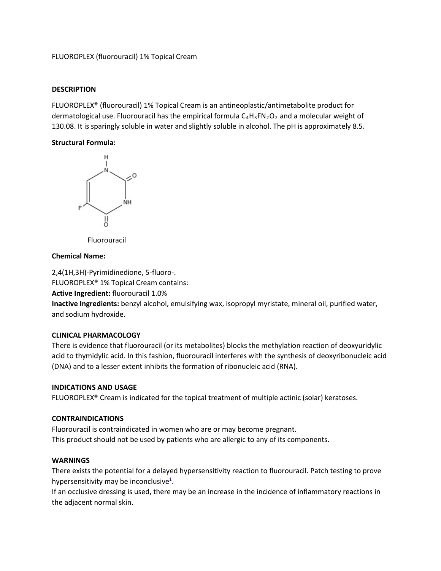## FLUOROPLEX (fluorouracil) 1% Topical Cream

### **DESCRIPTION**

FLUOROPLEX® (fluorouracil) 1% Topical Cream is an antineoplastic/antimetabolite product for dermatological use. Fluorouracil has the empirical formula  $C_4H_3FN_2O_2$  and a molecular weight of 130.08. It is sparingly soluble in water and slightly soluble in alcohol. The pH is approximately 8.5.

#### **Structural Formula:**



Fluorouracil

### **Chemical Name:**

2,4(1H,3H)-Pyrimidinedione, 5-fluoro-. FLUOROPLEX® 1% Topical Cream contains: **Active Ingredient:** fluorouracil 1.0%

**Inactive Ingredients:** benzyl alcohol, emulsifying wax, isopropyl myristate, mineral oil, purified water, and sodium hydroxide.

#### **CLINICAL PHARMACOLOGY**

There is evidence that fluorouracil (or its metabolites) blocks the methylation reaction of deoxyuridylic acid to thymidylic acid. In this fashion, fluorouracil interferes with the synthesis of deoxyribonucleic acid (DNA) and to a lesser extent inhibits the formation of ribonucleic acid (RNA).

#### **INDICATIONS AND USAGE**

FLUOROPLEX® Cream is indicated for the topical treatment of multiple actinic (solar) keratoses.

### **CONTRAINDICATIONS**

Fluorouracil is contraindicated in women who are or may become pregnant. This product should not be used by patients who are allergic to any of its components.

#### **WARNINGS**

There exists the potential for a delayed hypersensitivity reaction to fluorouracil. Patch testing to prove hypersensitivity may be inconclusive<sup>1</sup>.

If an occlusive dressing is used, there may be an increase in the incidence of inflammatory reactions in the adjacent normal skin.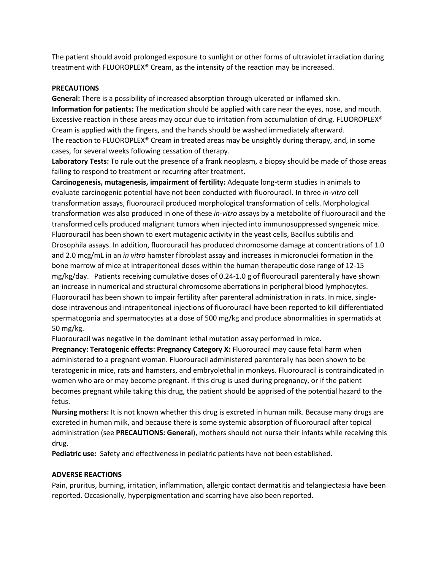The patient should avoid prolonged exposure to sunlight or other forms of ultraviolet irradiation during treatment with FLUOROPLEX® Cream, as the intensity of the reaction may be increased.

#### **PRECAUTIONS**

**General:** There is a possibility of increased absorption through ulcerated or inflamed skin. **Information for patients:** The medication should be applied with care near the eyes, nose, and mouth. Excessive reaction in these areas may occur due to irritation from accumulation of drug. FLUOROPLEX® Cream is applied with the fingers, and the hands should be washed immediately afterward. The reaction to FLUOROPLEX® Cream in treated areas may be unsightly during therapy, and, in some cases, for several weeks following cessation of therapy.

**Laboratory Tests:** To rule out the presence of a frank neoplasm, a biopsy should be made of those areas failing to respond to treatment or recurring after treatment.

**Carcinogenesis, mutagenesis, impairment of fertility:** Adequate long-term studies in animals to evaluate carcinogenic potential have not been conducted with fluorouracil. In three *in-vitro* cell transformation assays, fluorouracil produced morphological transformation of cells. Morphological transformation was also produced in one of these *in-vitro* assays by a metabolite of fluorouracil and the transformed cells produced malignant tumors when injected into immunosuppressed syngeneic mice. Fluorouracil has been shown to exert mutagenic activity in the yeast cells, Bacillus subtilis and Drosophila assays. In addition, fluorouracil has produced chromosome damage at concentrations of 1.0 and 2.0 mcg/mL in an *in vitro* hamster fibroblast assay and increases in micronuclei formation in the bone marrow of mice at intraperitoneal doses within the human therapeutic dose range of 12-15 mg/kg/day. Patients receiving cumulative doses of 0.24-1.0 g of fluorouracil parenterally have shown an increase in numerical and structural chromosome aberrations in peripheral blood lymphocytes. Fluorouracil has been shown to impair fertility after parenteral administration in rats. In mice, singledose intravenous and intraperitoneal injections of fluorouracil have been reported to kill differentiated spermatogonia and spermatocytes at a dose of 500 mg/kg and produce abnormalities in spermatids at 50 mg/kg.

Fluorouracil was negative in the dominant lethal mutation assay performed in mice.

**Pregnancy: Teratogenic effects: Pregnancy Category X:** Fluorouracil may cause fetal harm when administered to a pregnant woman. Fluorouracil administered parenterally has been shown to be teratogenic in mice, rats and hamsters, and embryolethal in monkeys. Fluorouracil is contraindicated in women who are or may become pregnant. If this drug is used during pregnancy, or if the patient becomes pregnant while taking this drug, the patient should be apprised of the potential hazard to the fetus.

**Nursing mothers:** It is not known whether this drug is excreted in human milk. Because many drugs are excreted in human milk, and because there is some systemic absorption of fluorouracil after topical administration (see **PRECAUTIONS: General**), mothers should not nurse their infants while receiving this drug.

**Pediatric use:** Safety and effectiveness in pediatric patients have not been established.

### **ADVERSE REACTIONS**

Pain, pruritus, burning, irritation, inflammation, allergic contact dermatitis and telangiectasia have been reported. Occasionally, hyperpigmentation and scarring have also been reported.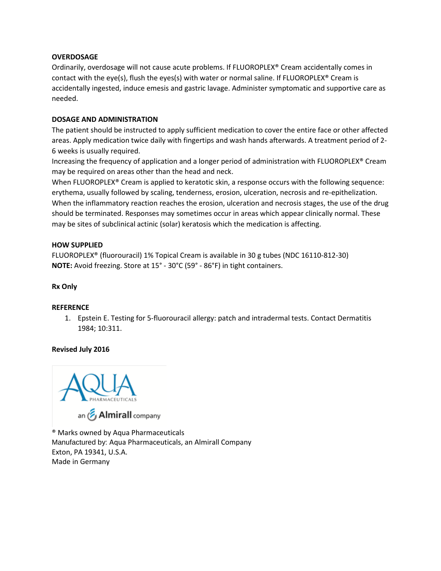### <span id="page-2-0"></span>**OVERDOSAGE**

Ordinarily, overdosage will not cause acute problems. If FLUOROPLEX® Cream accidentally comes in contact with the eye(s), flush the eyes(s) with water or normal saline. If FLUOROPLEX® Cream is accidentally ingested, induce emesis and gastric lavage. Administer symptomatic and supportive care as needed.

## **DOSAGE AND ADMINISTRATION**

The patient should be instructed to apply sufficient medication to cover the entire face or other affected areas. Apply medication twice daily with fingertips and wash hands afterwards. A treatment period of 2- 6 weeks is usually required.

Increasing the frequency of application and a longer period of administration with FLUOROPLEX® Cream may be required on areas other than the head and neck.

When FLUOROPLEX® Cream is applied to keratotic skin, a response occurs with the following sequence: erythema, usually followed by scaling, tenderness, erosion, ulceration, necrosis and re-epithelization. When the inflammatory reaction reaches the erosion, ulceration and necrosis stages, the use of the drug should be terminated. Responses may sometimes occur in areas which appear clinically normal. These may be sites of subclinical actinic (solar) keratosis which the medication is affecting.

## **HOW SUPPLIED**

FLUOROPLEX® (fluorouracil) 1% Topical Cream is available in 30 g tubes (NDC 16110-812-30) **NOTE:** Avoid freezing. Store at 15° - 30°C (59° - 86°F) in tight containers.

## **Rx Only**

# **REFERENCE**

1. Epstein E. Testing for 5-fluorouracil allergy: patch and intradermal tests. Contact Dermatitis 1984; 10:311.

### **Revised July 2016**



an **Almirall** company

® Marks owned by Aqua Pharmaceuticals Manufactured by: Aqua Pharmaceuticals, an Almirall Company Exton, PA 19341, U.S.A. Made in Germany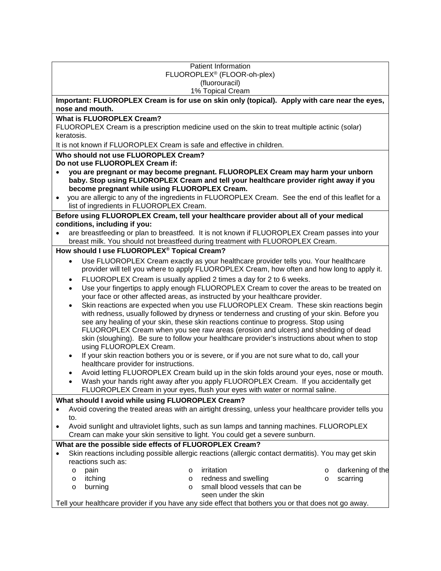| Patient Information                                                                                                                                                                         |
|---------------------------------------------------------------------------------------------------------------------------------------------------------------------------------------------|
| FLUOROPLEX <sup>®</sup> (FLOOR-oh-plex)                                                                                                                                                     |
| (fluorouracil)                                                                                                                                                                              |
| 1% Topical Cream                                                                                                                                                                            |
| Important: FLUOROPLEX Cream is for use on skin only (topical). Apply with care near the eyes,<br>nose and mouth.                                                                            |
| <b>What is FLUOROPLEX Cream?</b>                                                                                                                                                            |
| FLUOROPLEX Cream is a prescription medicine used on the skin to treat multiple actinic (solar)                                                                                              |
| keratosis.                                                                                                                                                                                  |
| It is not known if FLUOROPLEX Cream is safe and effective in children.                                                                                                                      |
| Who should not use FLUOROPLEX Cream?                                                                                                                                                        |
| Do not use FLUOROPLEX Cream if:                                                                                                                                                             |
| you are pregnant or may become pregnant. FLUOROPLEX Cream may harm your unborn                                                                                                              |
| baby. Stop using FLUOROPLEX Cream and tell your healthcare provider right away if you                                                                                                       |
| become pregnant while using FLUOROPLEX Cream.                                                                                                                                               |
| you are allergic to any of the ingredients in FLUOROPLEX Cream. See the end of this leaflet for a<br>$\bullet$                                                                              |
| list of ingredients in FLUOROPLEX Cream.                                                                                                                                                    |
| Before using FLUOROPLEX Cream, tell your healthcare provider about all of your medical                                                                                                      |
| conditions, including if you:                                                                                                                                                               |
| are breastfeeding or plan to breastfeed. It is not known if FLUOROPLEX Cream passes into your<br>٠                                                                                          |
| breast milk. You should not breastfeed during treatment with FLUOROPLEX Cream.                                                                                                              |
| How should I use FLUOROPLEX® Topical Cream?                                                                                                                                                 |
| Use FLUOROPLEX Cream exactly as your healthcare provider tells you. Your healthcare<br>$\bullet$                                                                                            |
| provider will tell you where to apply FLUOROPLEX Cream, how often and how long to apply it.                                                                                                 |
| FLUOROPLEX Cream is usually applied 2 times a day for 2 to 6 weeks.<br>٠                                                                                                                    |
| Use your fingertips to apply enough FLUOROPLEX Cream to cover the areas to be treated on<br>$\bullet$                                                                                       |
| your face or other affected areas, as instructed by your healthcare provider.                                                                                                               |
| Skin reactions are expected when you use FLUOROPLEX Cream. These skin reactions begin<br>٠<br>with redness, usually followed by dryness or tenderness and crusting of your skin. Before you |
| see any healing of your skin, these skin reactions continue to progress. Stop using                                                                                                         |
| FLUOROPLEX Cream when you see raw areas (erosion and ulcers) and shedding of dead                                                                                                           |
| skin (sloughing). Be sure to follow your healthcare provider's instructions about when to stop                                                                                              |
| using FLUOROPLEX Cream.                                                                                                                                                                     |
| If your skin reaction bothers you or is severe, or if you are not sure what to do, call your<br>$\bullet$                                                                                   |
| healthcare provider for instructions.                                                                                                                                                       |
| Avoid letting FLUOROPLEX Cream build up in the skin folds around your eyes, nose or mouth.<br>٠                                                                                             |
| Wash your hands right away after you apply FLUOROPLEX Cream. If you accidentally get                                                                                                        |
| FLUOROPLEX Cream in your eyes, flush your eyes with water or normal saline.                                                                                                                 |
| What should I avoid while using FLUOROPLEX Cream?                                                                                                                                           |
| Avoid covering the treated areas with an airtight dressing, unless your healthcare provider tells you                                                                                       |
| to.                                                                                                                                                                                         |
| Avoid sunlight and ultraviolet lights, such as sun lamps and tanning machines. FLUOROPLEX<br>٠<br>Cream can make your skin sensitive to light. You could get a severe sunburn.              |
| What are the possible side effects of FLUOROPLEX Cream?                                                                                                                                     |
| Skin reactions including possible allergic reactions (allergic contact dermatitis). You may get skin<br>$\bullet$                                                                           |
| reactions such as:                                                                                                                                                                          |
| irritation<br>darkening of the<br>pain<br>$\circ$<br>$\circ$<br>O                                                                                                                           |
| redness and swelling<br>itching<br>scarring<br>$\circ$<br>$\circ$<br>O                                                                                                                      |
| small blood vessels that can be<br>burning<br>$\circ$<br>$\circ$                                                                                                                            |
| seen under the skin                                                                                                                                                                         |
| Tell your healthcare provider if you have any side effect that bothers you or that does not go away.                                                                                        |